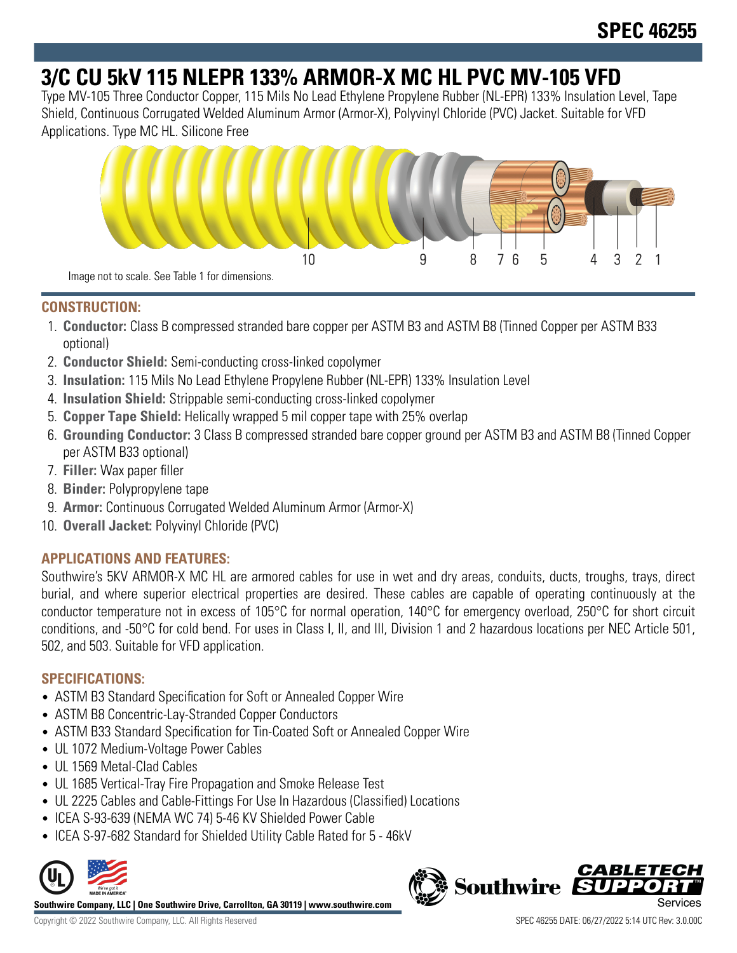# **3/C CU 5kV 115 NLEPR 133% ARMOR-X MC HL PVC MV-105 VFD**

Type MV-105 Three Conductor Copper, 115 Mils No Lead Ethylene Propylene Rubber (NL-EPR) 133% Insulation Level, Tape Shield, Continuous Corrugated Welded Aluminum Armor (Armor-X), Polyvinyl Chloride (PVC) Jacket. Suitable for VFD Applications. Type MC HL. Silicone Free



### **CONSTRUCTION:**

- 1. **Conductor:** Class B compressed stranded bare copper per ASTM B3 and ASTM B8 (Tinned Copper per ASTM B33 optional)
- 2. **Conductor Shield:** Semi-conducting cross-linked copolymer
- 3. **Insulation:** 115 Mils No Lead Ethylene Propylene Rubber (NL-EPR) 133% Insulation Level
- 4. **Insulation Shield:** Strippable semi-conducting cross-linked copolymer
- 5. **Copper Tape Shield:** Helically wrapped 5 mil copper tape with 25% overlap
- 6. **Grounding Conductor:** 3 Class B compressed stranded bare copper ground per ASTM B3 and ASTM B8 (Tinned Copper per ASTM B33 optional)
- 7. **Filler:** Wax paper filler
- 8. **Binder:** Polypropylene tape
- 9. **Armor:** Continuous Corrugated Welded Aluminum Armor (Armor-X)
- 10. **Overall Jacket:** Polyvinyl Chloride (PVC)

## **APPLICATIONS AND FEATURES:**

Southwire's 5KV ARMOR-X MC HL are armored cables for use in wet and dry areas, conduits, ducts, troughs, trays, direct burial, and where superior electrical properties are desired. These cables are capable of operating continuously at the conductor temperature not in excess of 105°C for normal operation, 140°C for emergency overload, 250°C for short circuit conditions, and -50°C for cold bend. For uses in Class I, II, and III, Division 1 and 2 hazardous locations per NEC Article 501, 502, and 503. Suitable for VFD application.

### **SPECIFICATIONS:**

- ASTM B3 Standard Specification for Soft or Annealed Copper Wire
- ASTM B8 Concentric-Lay-Stranded Copper Conductors
- ASTM B33 Standard Specification for Tin-Coated Soft or Annealed Copper Wire
- UL 1072 Medium-Voltage Power Cables
- UL 1569 Metal-Clad Cables
- UL 1685 Vertical-Tray Fire Propagation and Smoke Release Test
- UL 2225 Cables and Cable-Fittings For Use In Hazardous (Classified) Locations
- ICEA S-93-639 (NEMA WC 74) 5-46 KV Shielded Power Cable
- ICEA S-97-682 Standard for Shielded Utility Cable Rated for 5 46kV



**Southwire Company, LLC | One Southwire Drive, Carrollton, GA 30119 | www.southwire.com**

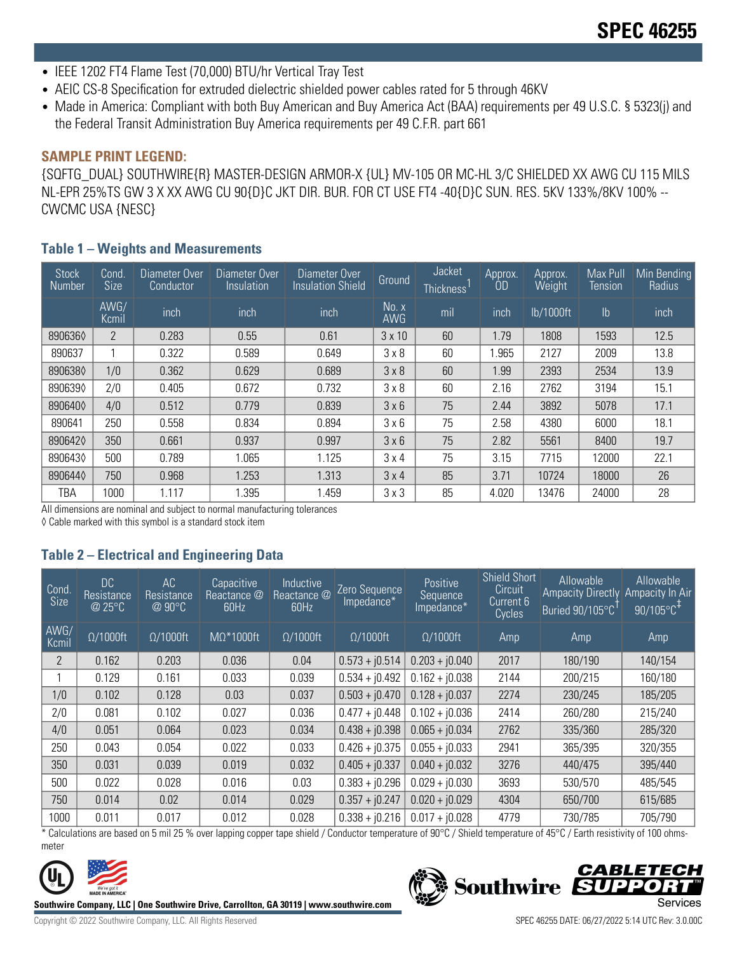- IEEE 1202 FT4 Flame Test (70,000) BTU/hr Vertical Tray Test
- AEIC CS-8 Specification for extruded dielectric shielded power cables rated for 5 through 46KV
- Made in America: Compliant with both Buy American and Buy America Act (BAA) requirements per 49 U.S.C. § 5323(j) and the Federal Transit Administration Buy America requirements per 49 C.F.R. part 661

#### **SAMPLE PRINT LEGEND:**

{SQFTG\_DUAL} SOUTHWIRE{R} MASTER-DESIGN ARMOR-X {UL} MV-105 OR MC-HL 3/C SHIELDED XX AWG CU 115 MILS NL-EPR 25%TS GW 3 X XX AWG CU 90{D}C JKT DIR. BUR. FOR CT USE FT4 -40{D}C SUN. RES. 5KV 133%/8KV 100% -- CWCMC USA {NESC}

#### **Table 1 – Weights and Measurements**

| <b>Stock</b><br>Number | Cond.<br><b>Size</b> | Diameter Over<br>Conductor | Diameter Over<br>Insulation | Diameter Over<br><b>Insulation Shield</b> | <b>Ground</b>       | Jacket<br><b>Thickness</b> | Approx.<br>OD | Approx.<br>Weight | Max Pull<br>Tension | Min Bending<br>Radius |
|------------------------|----------------------|----------------------------|-----------------------------|-------------------------------------------|---------------------|----------------------------|---------------|-------------------|---------------------|-----------------------|
|                        | AWG/<br>Kcmil        | inch                       | inch                        | inch                                      | No. x<br><b>AWG</b> | mil                        | inch          | lb/1000ft         | $\mathsf{lb}$       | inch                  |
| 8906360                | $\overline{2}$       | 0.283                      | 0.55                        | 0.61                                      | $3 \times 10$       | 60                         | 1.79          | 1808              | 1593                | 12.5                  |
| 890637                 |                      | 0.322                      | 0.589                       | 0.649                                     | 3 × 8               | 60                         | .965          | 2127              | 2009                | 13.8                  |
| 8906380                | 1/0                  | 0.362                      | 0.629                       | 0.689                                     | 3 × 8               | 60                         | 1.99          | 2393              | 2534                | 13.9                  |
| 8906390                | 2/0                  | 0.405                      | 0.672                       | 0.732                                     | 3 × 8               | 60                         | 2.16          | 2762              | 3194                | 15.1                  |
| 8906400                | 4/0                  | 0.512                      | 0.779                       | 0.839                                     | 3 × 6               | 75                         | 2.44          | 3892              | 5078                | 17.1                  |
| 890641                 | 250                  | 0.558                      | 0.834                       | 0.894                                     | 3 × 6               | 75                         | 2.58          | 4380              | 6000                | 18.1                  |
| 8906420                | 350                  | 0.661                      | 0.937                       | 0.997                                     | 3 × 6               | 75                         | 2.82          | 5561              | 8400                | 19.7                  |
| 8906430                | 500                  | 0.789                      | 1.065                       | 1.125                                     | 3x4                 | 75                         | 3.15          | 7715              | 12000               | 22.1                  |
| 8906440                | 750                  | 0.968                      | 1.253                       | 1.313                                     | $3 \times 4$        | 85                         | 3.71          | 10724             | 18000               | 26                    |
| TBA                    | 1000                 | 1.117                      | 1.395                       | 1.459                                     | $3 \times 3$        | 85                         | 4.020         | 13476             | 24000               | 28                    |

All dimensions are nominal and subject to normal manufacturing tolerances

◊ Cable marked with this symbol is a standard stock item

## **Table 2 – Electrical and Engineering Data**

| Cond<br>Size   | <b>DC</b><br>Resistance<br>@ 25°C | AC<br>Resistance<br>@90°C | Capacitive<br>Reactance $@'$<br>60Hz | Inductive<br>Reactance @<br>60Hz | Zero Sequence<br>Impedance* | Positive<br>Sequence<br>Impedance* | <b>Shield Short</b><br>Circuit<br>Current 6<br>Cycles | Allowable<br><b>Ampacity Directly</b><br>Buried 90/105°C | Allowable<br>Ampacity In Air<br>$90/105^{\circ}C^{+}$ |
|----------------|-----------------------------------|---------------------------|--------------------------------------|----------------------------------|-----------------------------|------------------------------------|-------------------------------------------------------|----------------------------------------------------------|-------------------------------------------------------|
| AWG/<br>Kcmil  | $\Omega/1000$ ft                  | $\Omega/1000$ ft          | $M\Omega^*1000$ ft                   | $\Omega/1000$ ft                 | $\Omega/1000$ ft            | $\Omega/1000$ ft                   | Amp                                                   | Amp                                                      | Amp                                                   |
| $\overline{2}$ | 0.162                             | 0.203                     | 0.036                                | 0.04                             | $0.573 + j0.514$            | $0.203 + j0.040$                   | 2017                                                  | 180/190                                                  | 140/154                                               |
|                | 0.129                             | 0.161                     | 0.033                                | 0.039                            | $0.534 + j0.492$            | $0.162 + j0.038$                   | 2144                                                  | 200/215                                                  | 160/180                                               |
| 1/0            | 0.102                             | 0.128                     | 0.03                                 | 0.037                            | $0.503 + j0.470$            | $0.128 + j0.037$                   | 2274                                                  | 230/245                                                  | 185/205                                               |
| 2/0            | 0.081                             | 0.102                     | 0.027                                | 0.036                            | $0.477 + j0.448$            | $0.102 + i0.036$                   | 2414                                                  | 260/280                                                  | 215/240                                               |
| 4/0            | 0.051                             | 0.064                     | 0.023                                | 0.034                            | $0.438 + j0.398$            | $0.065 + j0.034$                   | 2762                                                  | 335/360                                                  | 285/320                                               |
| 250            | 0.043                             | 0.054                     | 0.022                                | 0.033                            | $0.426 + j0.375$            | $0.055 + j0.033$                   | 2941                                                  | 365/395                                                  | 320/355                                               |
| 350            | 0.031                             | 0.039                     | 0.019                                | 0.032                            | $0.405 + j0.337$            | $0.040 + j0.032$                   | 3276                                                  | 440/475                                                  | 395/440                                               |
| 500            | 0.022                             | 0.028                     | 0.016                                | 0.03                             | $0.383 + j0.296$            | $0.029 + j0.030$                   | 3693                                                  | 530/570                                                  | 485/545                                               |
| 750            | 0.014                             | 0.02                      | 0.014                                | 0.029                            | $0.357 + j0.247$            | $0.020 + j0.029$                   | 4304                                                  | 650/700                                                  | 615/685                                               |
| 1000           | 0.011                             | 0.017                     | 0.012                                | 0.028                            | $0.338 + i0.216$            | $0.017 + i0.028$                   | 4779                                                  | 730/785                                                  | 705/790                                               |

\* Calculations are based on 5 mil 25 % over lapping copper tape shield / Conductor temperature of 90°C / Shield temperature of 45°C / Earth resistivity of 100 ohmsmeter



**Southwire Company, LLC | One Southwire Drive, Carrollton, GA 30119 | www.southwire.com**